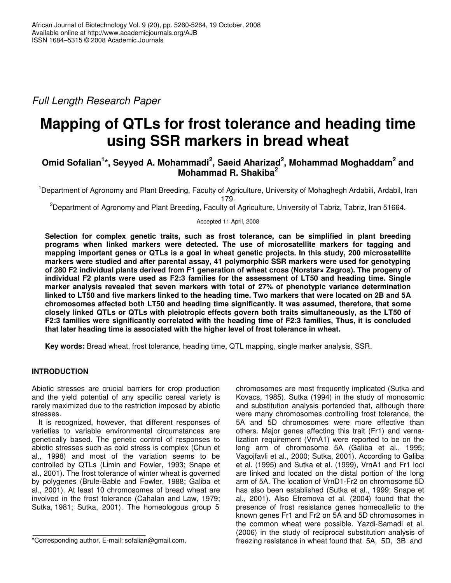*Full Length Research Paper*

# **Mapping of QTLs for frost tolerance and heading time using SSR markers in bread wheat**

# **Omid Sofalian 1 \*, Seyyed A. Mohammadi 2 , Saeid Aharizad 2 , Mohammad Moghaddam 2 and Mohammad R. Shakiba 2**

<sup>1</sup>Department of Agronomy and Plant Breeding, Faculty of Agriculture, University of Mohaghegh Ardabili, Ardabil, Iran 179.

<sup>2</sup>Department of Agronomy and Plant Breeding, Faculty of Agriculture, University of Tabriz, Tabriz, Iran 51664.

Accepted 11 April, 2008

**Selection for complex genetic traits, such as frost tolerance, can be simplified in plant breeding programs when linked markers were detected. The use of microsatellite markers for tagging and mapping important genes or QTLs is a goal in wheat genetic projects. In this study, 200 microsatellite markers were studied and after parental assay, 41 polymorphic SSR markers were used for genotyping of 280 F2 individual plants derived from F1 generation of wheat cross (Norstar× Zagros). The progeny of individual F2 plants were used as F2:3 families for the assessment of LT50 and heading time. Single marker analysis revealed that seven markers with total of 27% of phenotypic variance determination** linked to LT50 and five markers linked to the heading time. Two markers that were located on 2B and 5A **chromosomes affected both LT50 and heading time significantly. It was assumed, therefore, that some closely linked QTLs or QTLs with pleiotropic effects govern both traits simultaneously, as the LT50 of F2:3 families were significantly correlated with the heading time of F2:3 families, Thus, it is concluded that later heading time is associated with the higher level of frost tolerance in wheat.**

**Key words:** Bread wheat, frost tolerance, heading time, QTL mapping, single marker analysis, SSR.

# **INTRODUCTION**

Abiotic stresses are crucial barriers for crop production and the yield potential of any specific cereal variety is rarely maximized due to the restriction imposed by abiotic stresses.

It is recognized, however, that different responses of varieties to variable environmental circumstances are genetically based. The genetic control of responses to abiotic stresses such as cold stress is complex (Chun et al., 1998) and most of the variation seems to be controlled by QTLs (Limin and Fowler, 1993; Snape et al., 2001). The frost tolerance of winter wheat is governed by polygenes (Brule-Bable and Fowler, 1988; Galiba et al., 2001). At least 10 chromosomes of bread wheat are involved in the frost tolerance (Cahalan and Law, 1979; Sutka, 1981; Sutka, 2001). The homeologous group 5

chromosomes are most frequently implicated (Sutka and Kovacs, 1985). Sutka (1994) in the study of monosomic and substitution analysis portended that, although there were many chromosomes controlling frost tolerance, the 5A and 5D chromosomes were more effective than others. Major genes affecting this trait (Fr1) and vernalization requirement (VrnA1) were reported to be on the long arm of chromosome 5A (Galiba et al., 1995; Vagojfavli et al., 2000; Sutka, 2001). According to Galiba et al. (1995) and Sutka et al. (1999), VrnA1 and Fr1 loci are linked and located on the distal portion of the long arm of 5A. The location of VrnD1-Fr2 on chromosome 5D has also been established (Sutka et al., 1999; Snape et al., 2001). Also Efremova et al. (2004) found that the presence of frost resistance genes homeoallelic to the known genes Fr1 and Fr2 on 5A and 5D chromosomes in the common wheat were possible. Yazdi-Samadi et al. (2006) in the study of reciprocal substitution analysis of freezing resistance in wheat found that 5A, 5D, 3B and

<sup>\*</sup>Corresponding author. E-mail: sofalian@gmail.com.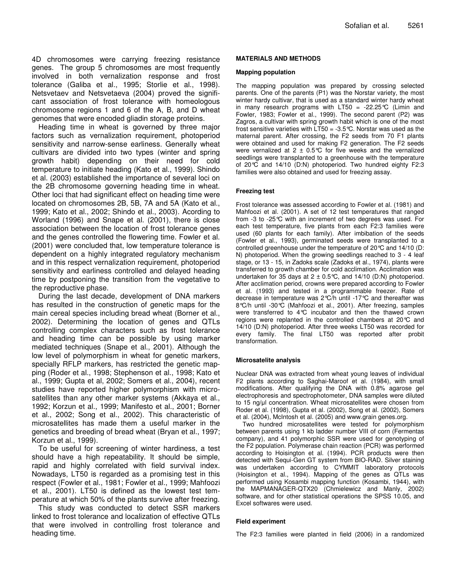4D chromosomes were carrying freezing resistance genes. The group 5 chromosomes are most frequently involved in both vernalization response and frost tolerance (Galiba et al., 1995; Storlie et al., 1998). Netsvetaev and Netsvetaeva (2004) proved the significant association of frost tolerance with homeologous chromosome regions 1 and 6 of the A, B, and D wheat genomes that were encoded gliadin storage proteins.

Heading time in wheat is governed by three major factors such as vernalization requirement, photoperiod sensitivity and narrow-sense earliness. Generally wheat cultivars are divided into two types (winter and spring growth habit) depending on their need for cold temperature to initiate heading (Kato et al., 1999). Shindo et al. (2003) established the importance of several loci on the 2B chromosome governing heading time in wheat. Other loci that had significant effect on heading time were located on chromosomes 2B, 5B, 7A and 5A (Kato et al., 1999; Kato et al., 2002; Shindo et al., 2003). Acording to Worland (1996) and Snape et al. (2001), there is close association between the location of frost tolerance genes and the genes controlled the flowering time. Fowler et al. (2001) were concluded that, low temperature tolerance is dependent on a highly integrated regulatory mechanism and in this respect vernalization requirement, photoperiod sensitivity and earliness controlled and delayed heading time by postponing the transition from the vegetative to the reproductive phase.

During the last decade, development of DNA markers has resulted in the construction of genetic maps for the main cereal species including bread wheat (Borner et al., 2002). Determining the location of genes and QTLs controlling complex characters such as frost tolerance and heading time can be possible by using marker mediated techniques (Snape et al., 2001). Although the low level of polymorphism in wheat for genetic markers, specially RFLP markers, has restricted the genetic mapping (Roder et al., 1998; Stephenson et al., 1998; Kato et al., 1999; Gupta et al, 2002; Somers et al., 2004), recent studies have reported higher polymorphism with microsatellites than any other marker systems (Akkaya et al., 1992; Korzun et al., 1999; Manifesto et al., 2001; Borner et al., 2002; Song et al., 2002). This characteristic of microsatellites has made them a useful marker in the genetics and breeding of bread wheat (Bryan et al., 1997; Korzun et al., 1999).

To be useful for screening of winter hardiness, a test should have a high repeatability. It should be simple, rapid and highly correlated with field survival index. Nowadays, LT50 is regarded as a promising test in this respect (Fowler et al., 1981; Fowler et al., 1999; Mahfoozi et al., 2001). LT50 is defined as the lowest test temperature at which 50% of the plants survive after freezing.

This study was conducted to detect SSR markers linked to frost tolerance and localization of effective QTLs that were involved in controlling frost tolerance and heading time.

## **MATERIALS AND METHODS**

#### **Mapping population**

The mapping population was prepared by crossing selected parents. One of the parents (P1) was the Norstar variety, the most winter hardy cultivar, that is used as a standard winter hardy wheat in many research programs with LT50 =  $-22.25^{\circ}C$  (Limin and Fowler, 1983; Fowler et al., 1999). The second parent (P2) was Zagros, a cultivar with spring growth habit which is one of the most frost sensitive varieties with  $LT50 = -3.5$ °C. Norstar was used as the maternal parent. After crossing, the F2 seeds from 70 F1 plants were obtained and used for making F2 generation. The F2 seeds were vernalized at 2  $\pm$  0.5°C for five weeks and the vernalized seedlings were transplanted to a greenhouse with the temperature of 20°C and 14/10 (D:N) photoperiod. Two hundred eighty F2:3 families were also obtained and used for freezing assay.

### **Freezing test**

Frost tolerance was assessed according to Fowler et al. (1981) and Mahfoozi et al. (2001). A set of 12 test temperatures that ranged from -3 to -25°C with an increment of two degrees was used. For each test temperature, five plants from each F2:3 families were used (60 plants for each family). After imbibation of the seeds (Fowler et al., 1993), germinated seeds were transplanted to a controlled greenhouse under the temperature of 20°C and 14/10 (D: N) photoperiod. When the growing seedlings reached to 3 - 4 leaf stage, or 13 - 15, in Zadoks scale (Zadoks et al., 1974), plants were transferred to growth chamber for cold acclimation. Acclimation was undertaken for 35 days at  $2 \pm 0.5^{\circ}$ C, and 14/10 (D:N) photoperiod. After acclimation period, crowns were prepared according to Fowler et al. (1993) and tested in a programmable freezer. Rate of decrease in temperature was 2°C/h until -17°C and thereafter was 8°C/h until -30°C (Mahfoozi et al., 2001). After freezing, samples were transferred to 4°C incubator and then the thawed crown regions were replanted in the controlled chambers at 20°C and 14/10 (D:N) photoperiod. After three weeks LT50 was recorded for every family. The final LT50 was reported after probit transformation.

#### **Microsatelite analysis**

Nuclear DNA was extracted from wheat young leaves of individual F2 plants according to Saghai-Maroof et al. (1984), with small modifications. After qualifying the DNA with 0.8% agarose gel electrophoresis and spectrophotometer, DNA samples were diluted to 15 ng/ul concentration. Wheat microsatellites were chosen from Roder et al. (1998), Gupta et al. (2002), Song et al. (2002), Somers et al. (2004), McIntosh et al. (2005) and www.grain genes.org.

Two hundred microsatellites were tested for polymorphism between parents using 1 kb ladder number VIII of corn (Fermentas company), and 41 polymorphic SSR were used for genotyping of the F2 population. Polymerase chain reaction (PCR) was performed according to Hoisington et al. (1994). PCR products were then detected with Sequi-Gen GT system from BIO-RAD. Silver staining was undertaken according to CYMMIT laboratory protocols (Hoisington et al., 1994). Mapping of the genes as QTLs was performed using Kosambi mapping function (Kosambi, 1944), with the MAPMANAGER-QTX20 (Chmielewicz and Manly, 2002) software, and for other statistical operations the SPSS 10.05, and Excel softwares were used.

#### **Field experiment**

The F2:3 families were planted in field (2006) in a randomized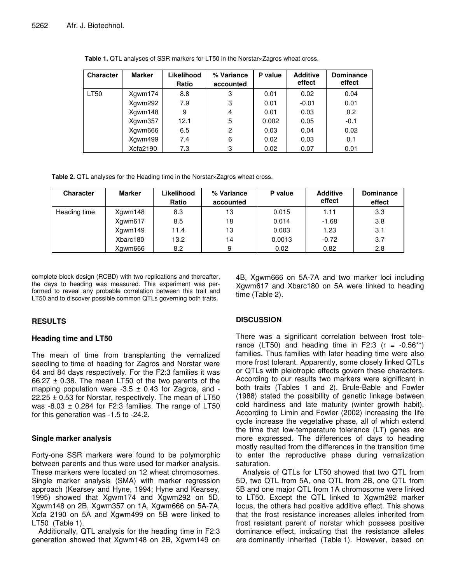| <b>Character</b> | <b>Marker</b> | Likelihood<br>Ratio | % Variance<br>accounted | P value | <b>Additive</b><br>effect | <b>Dominance</b><br>effect |
|------------------|---------------|---------------------|-------------------------|---------|---------------------------|----------------------------|
| <b>LT50</b>      | Xgwm174       | 8.8                 | 3                       | 0.01    | 0.02                      | 0.04                       |
|                  | Xgwm292       | 7.9                 | 3                       | 0.01    | $-0.01$                   | 0.01                       |
|                  | Xgwm148       | 9                   | 4                       | 0.01    | 0.03                      | 0.2                        |
|                  | Xgwm357       | 12.1                | 5                       | 0.002   | 0.05                      | $-0.1$                     |
|                  | Xgwm666       | 6.5                 | 2                       | 0.03    | 0.04                      | 0.02                       |
|                  | Xgwm499       | 7.4                 | 6                       | 0.02    | 0.03                      | 0.1                        |
|                  | Xcfa2190      | 7.3                 | 3                       | 0.02    | 0.07                      | 0.01                       |

**Table 1.** QTL analyses of SSR markers for LT50 in the Norstar×Zagros wheat cross.

**Table 2.** QTL analyses for the Heading time in the Norstar×Zagros wheat cross.

| <b>Character</b> | <b>Marker</b> | Likelihood<br>Ratio | % Variance<br>accounted | P value | <b>Additive</b><br>effect | <b>Dominance</b><br>effect |
|------------------|---------------|---------------------|-------------------------|---------|---------------------------|----------------------------|
| Heading time     | Xgwm148       | 8.3                 | 13                      | 0.015   | 1.11                      | 3.3                        |
|                  | Xgwm617       | 8.5                 | 18                      | 0.014   | $-1.68$                   | 3.8                        |
|                  | Xgwm149       | 11.4                | 13                      | 0.003   | 1.23                      | 3.1                        |
|                  | Xbarc180      | 13.2                | 14                      | 0.0013  | $-0.72$                   | 3.7                        |
|                  | Xawm666       | 8.2                 | 9                       | 0.02    | 0.82                      | 2.8                        |

complete block design (RCBD) with two replications and thereafter, the days to heading was measured. This experiment was performed to reveal any probable correlation between this trait and LT50 and to discover possible common QTLs governing both traits.

# **RESULTS**

# **Heading time and LT50**

The mean of time from transplanting the vernalized seedling to time of heading for Zagros and Norstar were 64 and 84 days respectively. For the F2:3 families it was 66.27  $\pm$  0.38. The mean LT50 of the two parents of the mapping population were  $-3.5 \pm 0.43$  for Zagros, and  $22.25 \pm 0.53$  for Norstar, respectively. The mean of LT50 was  $-8.03 \pm 0.284$  for F2:3 families. The range of LT50 for this generation was -1.5 to -24.2.

# **Single marker analysis**

Forty-one SSR markers were found to be polymorphic between parents and thus were used for marker analysis. These markers were located on 12 wheat chromosomes. Single marker analysis (SMA) with marker regression approach (Kearsey and Hyne, 1994; Hyne and Kearsey, 1995) showed that Xgwm174 and Xgwm292 on 5D, Xgwm148 on 2B, Xgwm357 on 1A, Xgwm666 on 5A-7A, Xcfa 2190 on 5A and Xgwm499 on 5B were linked to LT50 (Table 1).

Additionally, QTL analysis for the heading time in F2:3 generation showed that Xgwm148 on 2B, Xgwm149 on 4B, Xgwm666 on 5A-7A and two marker loci including Xgwm617 and Xbarc180 on 5A were linked to heading time (Table 2).

# **DISCUSSION**

There was a significant correlation between frost tolerance (LT50) and heading time in F2:3  $(r = -0.56**)$ families. Thus families with later heading time were also more frost tolerant. Apparently, some closely linked QTLs or QTLs with pleiotropic effects govern these characters. According to our results two markers were significant in both traits (Tables 1 and 2). Brule-Bable and Fowler (1988) stated the possibility of genetic linkage between cold hardiness and late maturity (winter growth habit). According to Limin and Fowler (2002) increasing the life cycle increase the vegetative phase, all of which extend the time that low-temperature tolerance (LT) genes are more expressed. The differences of days to heading mostly resulted from the differences in the transition time to enter the reproductive phase during vernalization saturation.

Analysis of QTLs for LT50 showed that two QTL from 5D, two QTL from 5A, one QTL from 2B, one QTL from 5B and one major QTL from 1A chromosome were linked to LT50. Except the QTL linked to Xgwm292 marker locus, the others had positive additive effect. This shows that the frost resistance increases alleles inherited from frost resistant parent of norstar which possess positive dominance effect, indicating that the resistance alleles are dominantly inherited (Table 1). However, based on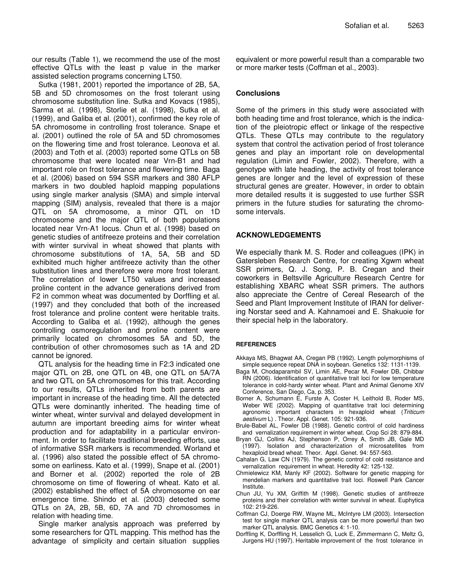our results (Table 1), we recommend the use of the most effective QTLs with the least p value in the marker assisted selection programs concerning LT50.

Sutka (1981, 2001) reported the importance of 2B, 5A, 5B and 5D chromosomes on the frost tolerant using chromosome substitution line. Sutka and Kovacs (1985), Sarma et al. (1998), Storlie et al. (1998), Sutka et al. (1999), and Galiba et al. (2001), confirmed the key role of 5A chromosome in controlling frost tolerance. Snape et al. (2001) outlined the role of 5A and 5D chromosomes on the flowering time and frost tolerance. Leonova et al. (2003) and Toth et al. (2003) reported some QTLs on 5B chromosome that were located near Vrn-B1 and had important role on frost tolerance and flowering time. Baga et al. (2006) based on 594 SSR markers and 380 AFLP markers in two doubled haploid mapping populations using single marker analysis (SMA) and simple interval mapping (SIM) analysis, revealed that there is a major QTL on 5A chromosome, a minor QTL on 1D chromosome and the major QTL of both populations located near Vrn-A1 locus. Chun et al. (1998) based on genetic studies of antifreeze proteins and their correlation with winter survival in wheat showed that plants with chromosome substitutions of 1A, 5A, 5B and 5D exhibited much higher antifreeze activity than the other substitution lines and therefore were more frost tolerant. The correlation of lower LT50 values and increased proline content in the advance generations derived from F2 in common wheat was documented by Dorffling et al. (1997) and they concluded that both of the increased frost tolerance and proline content were heritable traits. According to Galiba et al. (1992), although the genes controlling osmoregulation and proline content were primarily located on chromosomes 5A and 5D, the contribution of other chromosomes such as 1A and 2D cannot be ignored.

QTL analysis for the heading time in F2:3 indicated one major QTL on 2B, one QTL on 4B, one QTL on 5A/7A and two QTL on 5A chromosomes for this trait. According to our results, QTLs inherited from both parents are important in increase of the heading time. All the detected QTLs were dominantly inherited. The heading time of winter wheat, winter survival and delayed development in autumn are important breeding aims for winter wheat production and for adaptability in a particular environment. In order to facilitate traditional breeding efforts, use of informative SSR markers is recommended. Worland et al. (1996) also stated the possible effect of 5A chromosome on earliness. Kato et al. (1999), Snape et al. (2001) and Borner et al. (2002) reported the role of 2B chromosome on time of flowering of wheat. Kato et al. (2002) established the effect of 5A chromosome on ear emergence time. Shindo et al. (2003) detected some QTLs on 2A, 2B, 5B, 6D, 7A and 7D chromosomes in relation with heading time.

Single marker analysis approach was preferred by some researchers for QTL mapping. This method has the advantage of simplicity and certain situation supplies equivalent or more powerful result than a comparable two or more marker tests (Coffman et al., 2003).

## **Conclusions**

Some of the primers in this study were associated with both heading time and frost tolerance, which is the indication of the pleiotropic effect or linkage of the respective QTLs. These QTLs may contribute to the regulatory system that control the activation period of frost tolerance genes and play an important role on developmental regulation (Limin and Fowler, 2002). Therefore, with a genotype with late heading, the activity of frost tolerance genes are longer and the level of expression of these structural genes are greater. However, in order to obtain more detailed results it is suggested to use further SSR primers in the future studies for saturating the chromosome intervals.

## **ACKNOWLEDGEMENTS**

We especially thank M. S. Roder and colleagues (IPK) in Gatersleben Research Centre, for creating Xgwm wheat SSR primers, Q. J. Song, P. B. Cregan and their coworkers in Beltsville Agriculture Research Centre for establishing XBARC wheat SSR primers. The authors also appreciate the Centre of Cereal Research of the Seed and Plant Improvement Institute of IRAN for delivering Norstar seed and A. Kahnamoei and E. Shakuoie for their special help in the laboratory.

## **REFERENCES**

- Akkaya MS, Bhagwat AA, Cregan PB (1992). Length polymorphisms of simple sequence repeat DNA in soybean. Genetics 132: 1131-1139.
- Baga M, Chodaparambil SV, Limin AE, Pecar M, Fowler DB, Chibbar RN (2006). Identification of quantitative trait loci for low temperature tolerance in cold-hardy winter wheat. Plant and Animal Genome XIV Conference, San Diego, Ca, p. 353.
- Borner A, Schumann E, Furste A, Coster H, Leithold B, Roder MS, Weber WE (2002). Mapping of quantitative trait loci determining agronomic important characters in hexaploid wheat (*Triticum aestivum* L) . Theor. Appl. Genet. 105: 921-936.
- Brule-Babel AL, Fowler DB (1988). Genetic control of cold hardiness and vernalization requirement in winter wheat. Crop Sci 28: 879-884.
- Bryan GJ, Collins AJ, Stephenson P, Orrey A, Smith JB, Gale MD (1997). Isolation and characterization of microsatellites from hexaploid bread wheat. Theor. Appl. Genet. 94: 557-563.
- Cahalan G, Law CN (1979). The genetic control of cold resistance and vernalization requirement in wheat. Heredity 42: 125-132.
- Chmielewicz KM, Manly KF (2002). Software for genetic mapping for mendelian markers and quantitative trait loci. Roswell Park Cancer Institute.
- Chun JU, Yu XM, Griffith M (1998). Genetic studies of antifreeze proteins and their correlation with winter survival in wheat. Euphytica 102: 219-226.
- Coffman CJ, Doerge RW, Wayne ML, McIntyre LM (2003). Intersection test for single marker QTL analysis can be more powerful than two marker QTL analysis. BMC Genetics 4: 1-10.
- Dorffling K, Dorffling H, Lesselich G, Luck E, Zimmermann C, Meltz G, Jurgens HU (1997). Heritable improvement of the frost tolerance in